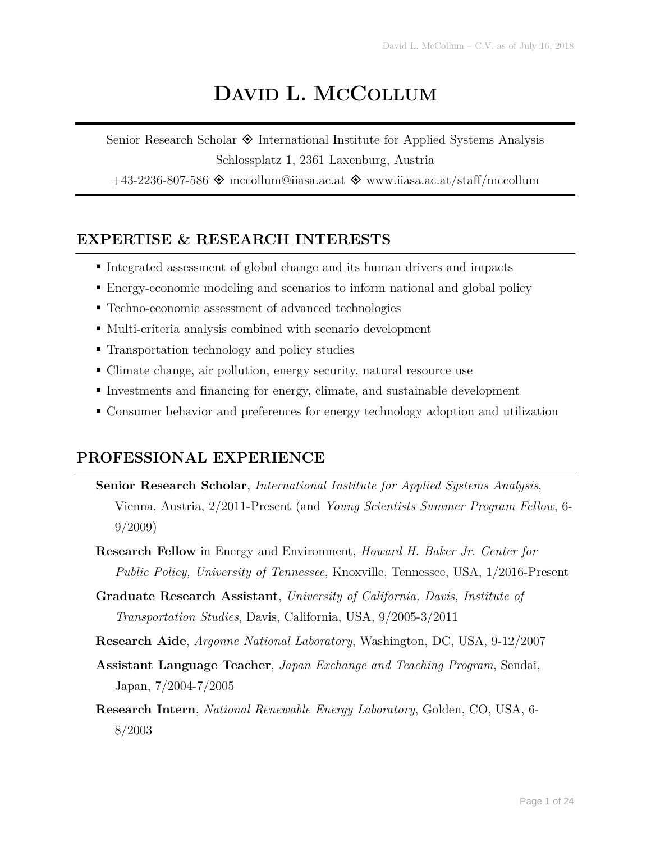# **DAVID L. MCCOLLUM**

Senior Research Scholar  $\Diamond$  International Institute for Applied Systems Analysis Schlossplatz 1, 2361 Laxenburg, Austria

 $+43-2236-807-586$   $\Diamond$  mccollum@iiasa.ac.at  $\Diamond$  www.iiasa.ac.at/staff/mccollum

### **EXPERTISE & RESEARCH INTERESTS**

- Integrated assessment of global change and its human drivers and impacts
- Energy-economic modeling and scenarios to inform national and global policy
- Techno-economic assessment of advanced technologies
- Multi-criteria analysis combined with scenario development
- Transportation technology and policy studies
- Climate change, air pollution, energy security, natural resource use
- Investments and financing for energy, climate, and sustainable development
- Consumer behavior and preferences for energy technology adoption and utilization

### **PROFESSIONAL EXPERIENCE**

- **Senior Research Scholar**, *International Institute for Applied Systems Analysis*, Vienna, Austria, 2/2011-Present (and *Young Scientists Summer Program Fellow*, 6- 9/2009)
- **Research Fellow** in Energy and Environment, *Howard H. Baker Jr. Center for Public Policy, University of Tennessee*, Knoxville, Tennessee, USA, 1/2016-Present
- **Graduate Research Assistant**, *University of California, Davis, Institute of Transportation Studies*, Davis, California, USA, 9/2005-3/2011
- **Research Aide**, *Argonne National Laboratory*, Washington, DC, USA, 9-12/2007
- **Assistant Language Teacher**, *Japan Exchange and Teaching Program*, Sendai, Japan, 7/2004-7/2005
- **Research Intern**, *National Renewable Energy Laboratory*, Golden, CO, USA, 6- 8/2003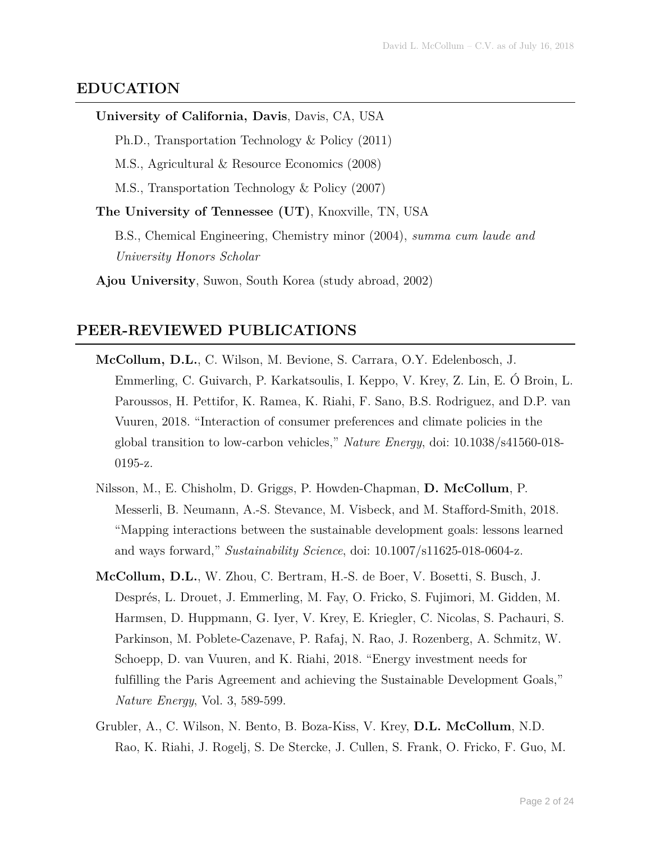#### **EDUCATION**

#### **University of California, Davis**, Davis, CA, USA

Ph.D., Transportation Technology & Policy (2011)

M.S., Agricultural & Resource Economics (2008)

M.S., Transportation Technology & Policy (2007)

**The University of Tennessee (UT)**, Knoxville, TN, USA

B.S., Chemical Engineering, Chemistry minor (2004), *summa cum laude and University Honors Scholar*

**Ajou University**, Suwon, South Korea (study abroad, 2002)

#### **PEER-REVIEWED PUBLICATIONS**

- **McCollum, D.L.**, C. Wilson, M. Bevione, S. Carrara, O.Y. Edelenbosch, J. Emmerling, C. Guivarch, P. Karkatsoulis, I. Keppo, V. Krey, Z. Lin, E. Ó Broin, L. Paroussos, H. Pettifor, K. Ramea, K. Riahi, F. Sano, B.S. Rodriguez, and D.P. van Vuuren, 2018. "Interaction of consumer preferences and climate policies in the global transition to low-carbon vehicles," *Nature Energy*, doi: 10.1038/s41560-018- 0195-z.
- Nilsson, M., E. Chisholm, D. Griggs, P. Howden-Chapman, **D. McCollum**, P. Messerli, B. Neumann, A.-S. Stevance, M. Visbeck, and M. Stafford-Smith, 2018. "Mapping interactions between the sustainable development goals: lessons learned and ways forward," *Sustainability Science*, doi: 10.1007/s11625-018-0604-z.
- **McCollum, D.L.**, W. Zhou, C. Bertram, H.-S. de Boer, V. Bosetti, S. Busch, J. Després, L. Drouet, J. Emmerling, M. Fay, O. Fricko, S. Fujimori, M. Gidden, M. Harmsen, D. Huppmann, G. Iyer, V. Krey, E. Kriegler, C. Nicolas, S. Pachauri, S. Parkinson, M. Poblete-Cazenave, P. Rafaj, N. Rao, J. Rozenberg, A. Schmitz, W. Schoepp, D. van Vuuren, and K. Riahi, 2018. "Energy investment needs for fulfilling the Paris Agreement and achieving the Sustainable Development Goals," *Nature Energy*, Vol. 3, 589-599.
- Grubler, A., C. Wilson, N. Bento, B. Boza-Kiss, V. Krey, **D.L. McCollum**, N.D. Rao, K. Riahi, J. Rogelj, S. De Stercke, J. Cullen, S. Frank, O. Fricko, F. Guo, M.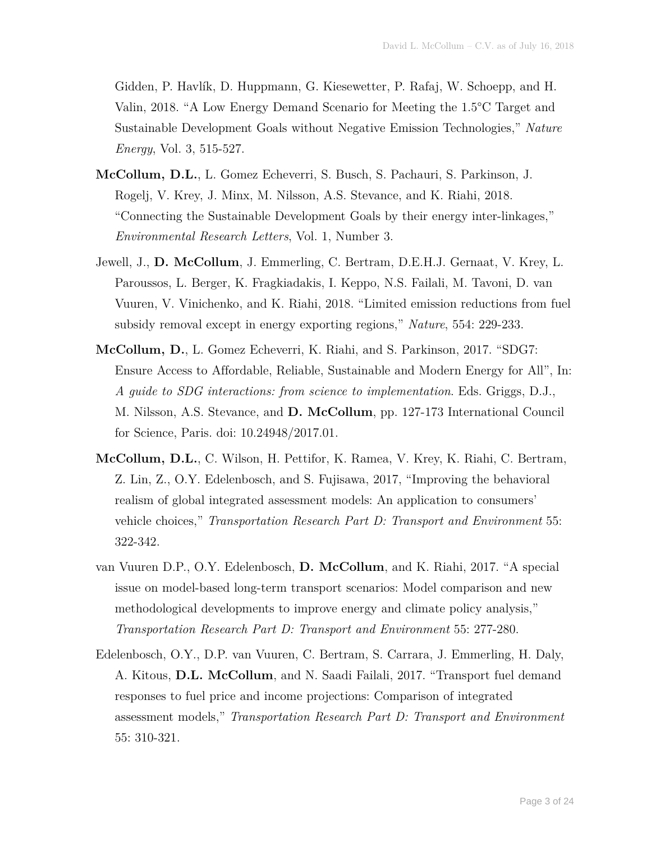Gidden, P. Havlík, D. Huppmann, G. Kiesewetter, P. Rafaj, W. Schoepp, and H. Valin, 2018. "A Low Energy Demand Scenario for Meeting the 1.5°C Target and Sustainable Development Goals without Negative Emission Technologies," *Nature Energy*, Vol. 3, 515-527.

- **McCollum, D.L.**, L. Gomez Echeverri, S. Busch, S. Pachauri, S. Parkinson, J. Rogelj, V. Krey, J. Minx, M. Nilsson, A.S. Stevance, and K. Riahi, 2018. "Connecting the Sustainable Development Goals by their energy inter-linkages," *Environmental Research Letters*, Vol. 1, Number 3.
- Jewell, J., **D. McCollum**, J. Emmerling, C. Bertram, D.E.H.J. Gernaat, V. Krey, L. Paroussos, L. Berger, K. Fragkiadakis, I. Keppo, N.S. Failali, M. Tavoni, D. van Vuuren, V. Vinichenko, and K. Riahi, 2018. "Limited emission reductions from fuel subsidy removal except in energy exporting regions," *Nature*, 554: 229-233.
- **McCollum, D.**, L. Gomez Echeverri, K. Riahi, and S. Parkinson, 2017. "SDG7: Ensure Access to Affordable, Reliable, Sustainable and Modern Energy for All", In: *A guide to SDG interactions: from science to implementation*. Eds. Griggs, D.J., M. Nilsson, A.S. Stevance, and **D. McCollum**, pp. 127-173 International Council for Science, Paris. doi: 10.24948/2017.01.
- **McCollum, D.L.**, C. Wilson, H. Pettifor, K. Ramea, V. Krey, K. Riahi, C. Bertram, Z. Lin, Z., O.Y. Edelenbosch, and S. Fujisawa, 2017, "Improving the behavioral realism of global integrated assessment models: An application to consumers' vehicle choices," *Transportation Research Part D: Transport and Environment* 55: 322-342.
- van Vuuren D.P., O.Y. Edelenbosch, **D. McCollum**, and K. Riahi, 2017. "A special issue on model-based long-term transport scenarios: Model comparison and new methodological developments to improve energy and climate policy analysis," *Transportation Research Part D: Transport and Environment* 55: 277-280.
- Edelenbosch, O.Y., D.P. van Vuuren, C. Bertram, S. Carrara, J. Emmerling, H. Daly, A. Kitous, **D.L. McCollum**, and N. Saadi Failali, 2017. "Transport fuel demand responses to fuel price and income projections: Comparison of integrated assessment models," *Transportation Research Part D: Transport and Environment* 55: 310-321.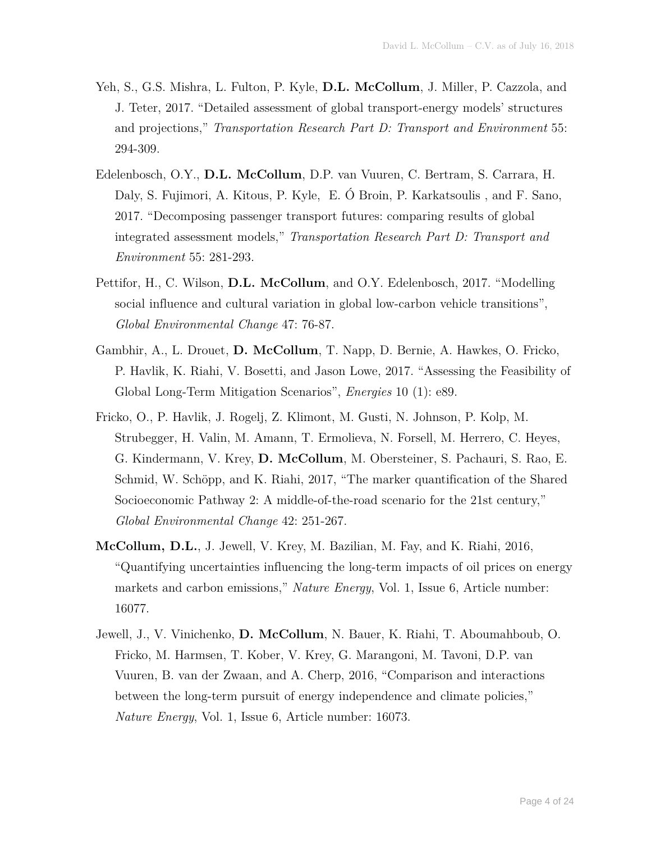- Yeh, S., G.S. Mishra, L. Fulton, P. Kyle, **D.L. McCollum**, J. Miller, P. Cazzola, and J. Teter, 2017. "Detailed assessment of global transport-energy models' structures and projections," *Transportation Research Part D: Transport and Environment* 55: 294-309.
- Edelenbosch, O.Y., **D.L. McCollum**, D.P. van Vuuren, C. Bertram, S. Carrara, H. Daly, S. Fujimori, A. Kitous, P. Kyle, E. Ó Broin, P. Karkatsoulis , and F. Sano, 2017. "Decomposing passenger transport futures: comparing results of global integrated assessment models," *Transportation Research Part D: Transport and Environment* 55: 281-293.
- Pettifor, H., C. Wilson, **D.L. McCollum**, and O.Y. Edelenbosch, 2017. "Modelling social influence and cultural variation in global low-carbon vehicle transitions", *Global Environmental Change* 47: 76-87.
- Gambhir, A., L. Drouet, **D. McCollum**, T. Napp, D. Bernie, A. Hawkes, O. Fricko, P. Havlik, K. Riahi, V. Bosetti, and Jason Lowe, 2017. "Assessing the Feasibility of Global Long-Term Mitigation Scenarios", *Energies* 10 (1): e89.
- Fricko, O., P. Havlik, J. Rogelj, Z. Klimont, M. Gusti, N. Johnson, P. Kolp, M. Strubegger, H. Valin, M. Amann, T. Ermolieva, N. Forsell, M. Herrero, C. Heyes, G. Kindermann, V. Krey, **D. McCollum**, M. Obersteiner, S. Pachauri, S. Rao, E. Schmid, W. Schöpp, and K. Riahi, 2017, "The marker quantification of the Shared Socioeconomic Pathway 2: A middle-of-the-road scenario for the 21st century," *Global Environmental Change* 42: 251-267.
- **McCollum, D.L.**, J. Jewell, V. Krey, M. Bazilian, M. Fay, and K. Riahi, 2016, "Quantifying uncertainties influencing the long-term impacts of oil prices on energy markets and carbon emissions," *Nature Energy*, Vol. 1, Issue 6, Article number: 16077.
- Jewell, J., V. Vinichenko, **D. McCollum**, N. Bauer, K. Riahi, T. Aboumahboub, O. Fricko, M. Harmsen, T. Kober, V. Krey, G. Marangoni, M. Tavoni, D.P. van Vuuren, B. van der Zwaan, and A. Cherp, 2016, "Comparison and interactions between the long-term pursuit of energy independence and climate policies," *Nature Energy*, Vol. 1, Issue 6, Article number: 16073.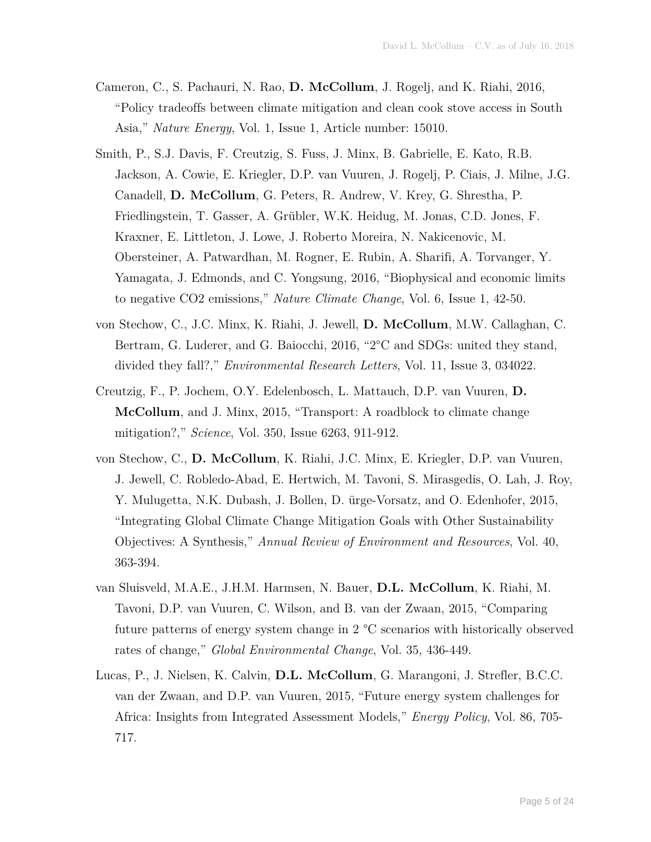- Cameron, C., S. Pachauri, N. Rao, **D. McCollum**, J. Rogelj, and K. Riahi, 2016, "Policy tradeoffs between climate mitigation and clean cook stove access in South Asia," *Nature Energy*, Vol. 1, Issue 1, Article number: 15010.
- Smith, P., S.J. Davis, F. Creutzig, S. Fuss, J. Minx, B. Gabrielle, E. Kato, R.B. Jackson, A. Cowie, E. Kriegler, D.P. van Vuuren, J. Rogelj, P. Ciais, J. Milne, J.G. Canadell, **D. McCollum**, G. Peters, R. Andrew, V. Krey, G. Shrestha, P. Friedlingstein, T. Gasser, A. Grübler, W.K. Heidug, M. Jonas, C.D. Jones, F. Kraxner, E. Littleton, J. Lowe, J. Roberto Moreira, N. Nakicenovic, M. Obersteiner, A. Patwardhan, M. Rogner, E. Rubin, A. Sharifi, A. Torvanger, Y. Yamagata, J. Edmonds, and C. Yongsung, 2016, "Biophysical and economic limits to negative CO2 emissions," *Nature Climate Change*, Vol. 6, Issue 1, 42-50.
- von Stechow, C., J.C. Minx, K. Riahi, J. Jewell, **D. McCollum**, M.W. Callaghan, C. Bertram, G. Luderer, and G. Baiocchi, 2016, "2°C and SDGs: united they stand, divided they fall?," *Environmental Research Letters*, Vol. 11, Issue 3, 034022.
- Creutzig, F., P. Jochem, O.Y. Edelenbosch, L. Mattauch, D.P. van Vuuren, **D. McCollum**, and J. Minx, 2015, "Transport: A roadblock to climate change mitigation?," *Science*, Vol. 350, Issue 6263, 911-912.
- von Stechow, C., **D. McCollum**, K. Riahi, J.C. Minx, E. Kriegler, D.P. van Vuuren, J. Jewell, C. Robledo-Abad, E. Hertwich, M. Tavoni, S. Mirasgedis, O. Lah, J. Roy, Y. Mulugetta, N.K. Dubash, J. Bollen, D. ürge-Vorsatz, and O. Edenhofer, 2015, "Integrating Global Climate Change Mitigation Goals with Other Sustainability Objectives: A Synthesis," *Annual Review of Environment and Resources*, Vol. 40, 363-394.
- van Sluisveld, M.A.E., J.H.M. Harmsen, N. Bauer, **D.L. McCollum**, K. Riahi, M. Tavoni, D.P. van Vuuren, C. Wilson, and B. van der Zwaan, 2015, "Comparing future patterns of energy system change in 2 °C scenarios with historically observed rates of change," *Global Environmental Change*, Vol. 35, 436-449.
- Lucas, P., J. Nielsen, K. Calvin, **D.L. McCollum**, G. Marangoni, J. Strefler, B.C.C. van der Zwaan, and D.P. van Vuuren, 2015, "Future energy system challenges for Africa: Insights from Integrated Assessment Models," *Energy Policy*, Vol. 86, 705- 717.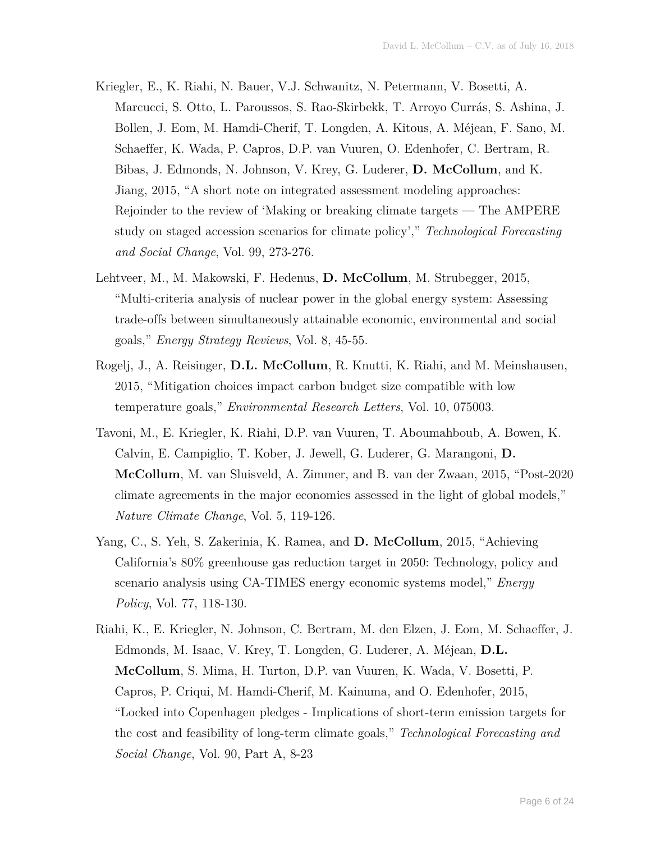- Kriegler, E., K. Riahi, N. Bauer, V.J. Schwanitz, N. Petermann, V. Bosetti, A. Marcucci, S. Otto, L. Paroussos, S. Rao-Skirbekk, T. Arroyo Currás, S. Ashina, J. Bollen, J. Eom, M. Hamdi-Cherif, T. Longden, A. Kitous, A. Méjean, F. Sano, M. Schaeffer, K. Wada, P. Capros, D.P. van Vuuren, O. Edenhofer, C. Bertram, R. Bibas, J. Edmonds, N. Johnson, V. Krey, G. Luderer, **D. McCollum**, and K. Jiang, 2015, "A short note on integrated assessment modeling approaches: Rejoinder to the review of 'Making or breaking climate targets — The AMPERE study on staged accession scenarios for climate policy'," *Technological Forecasting and Social Change*, Vol. 99, 273-276.
- Lehtveer, M., M. Makowski, F. Hedenus, **D. McCollum**, M. Strubegger, 2015, "Multi-criteria analysis of nuclear power in the global energy system: Assessing trade-offs between simultaneously attainable economic, environmental and social goals," *Energy Strategy Reviews*, Vol. 8, 45-55.
- Rogelj, J., A. Reisinger, **D.L. McCollum**, R. Knutti, K. Riahi, and M. Meinshausen, 2015, "Mitigation choices impact carbon budget size compatible with low temperature goals," *Environmental Research Letters*, Vol. 10, 075003.
- Tavoni, M., E. Kriegler, K. Riahi, D.P. van Vuuren, T. Aboumahboub, A. Bowen, K. Calvin, E. Campiglio, T. Kober, J. Jewell, G. Luderer, G. Marangoni, **D. McCollum**, M. van Sluisveld, A. Zimmer, and B. van der Zwaan, 2015, "Post-2020 climate agreements in the major economies assessed in the light of global models," *Nature Climate Change*, Vol. 5, 119-126.
- Yang, C., S. Yeh, S. Zakerinia, K. Ramea, and **D. McCollum**, 2015, "Achieving California's 80% greenhouse gas reduction target in 2050: Technology, policy and scenario analysis using CA-TIMES energy economic systems model," *Energy Policy*, Vol. 77, 118-130.
- Riahi, K., E. Kriegler, N. Johnson, C. Bertram, M. den Elzen, J. Eom, M. Schaeffer, J. Edmonds, M. Isaac, V. Krey, T. Longden, G. Luderer, A. Méjean, **D.L. McCollum**, S. Mima, H. Turton, D.P. van Vuuren, K. Wada, V. Bosetti, P. Capros, P. Criqui, M. Hamdi-Cherif, M. Kainuma, and O. Edenhofer, 2015, "Locked into Copenhagen pledges - Implications of short-term emission targets for the cost and feasibility of long-term climate goals," *Technological Forecasting and Social Change*, Vol. 90, Part A, 8-23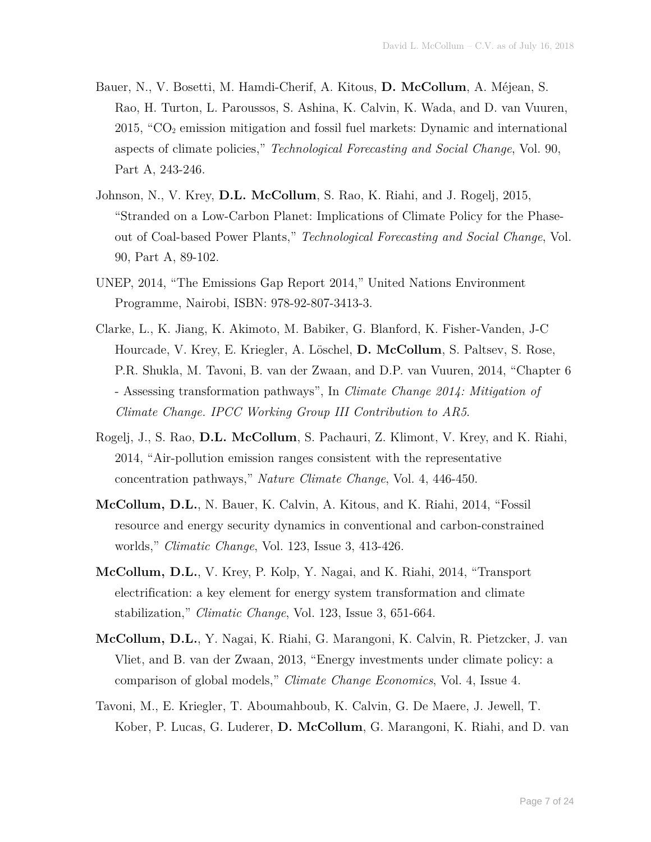- Bauer, N., V. Bosetti, M. Hamdi-Cherif, A. Kitous, **D. McCollum**, A. Méjean, S. Rao, H. Turton, L. Paroussos, S. Ashina, K. Calvin, K. Wada, and D. van Vuuren,  $2015$ , " $CO<sub>2</sub>$  emission mitigation and fossil fuel markets: Dynamic and international aspects of climate policies," *Technological Forecasting and Social Change*, Vol. 90, Part A, 243-246.
- Johnson, N., V. Krey, **D.L. McCollum**, S. Rao, K. Riahi, and J. Rogelj, 2015, "Stranded on a Low-Carbon Planet: Implications of Climate Policy for the Phaseout of Coal-based Power Plants," *Technological Forecasting and Social Change*, Vol. 90, Part A, 89-102.
- UNEP, 2014, "The Emissions Gap Report 2014," United Nations Environment Programme, Nairobi, ISBN: 978-92-807-3413-3.
- Clarke, L., K. Jiang, K. Akimoto, M. Babiker, G. Blanford, K. Fisher-Vanden, J-C Hourcade, V. Krey, E. Kriegler, A. Löschel, **D. McCollum**, S. Paltsev, S. Rose, P.R. Shukla, M. Tavoni, B. van der Zwaan, and D.P. van Vuuren, 2014, "Chapter 6 - Assessing transformation pathways", In *Climate Change 2014: Mitigation of Climate Change. IPCC Working Group III Contribution to AR5*.
- Rogelj, J., S. Rao, **D.L. McCollum**, S. Pachauri, Z. Klimont, V. Krey, and K. Riahi, 2014, "Air-pollution emission ranges consistent with the representative concentration pathways," *Nature Climate Change*, Vol. 4, 446-450.
- **McCollum, D.L.**, N. Bauer, K. Calvin, A. Kitous, and K. Riahi, 2014, "Fossil resource and energy security dynamics in conventional and carbon-constrained worlds," *Climatic Change*, Vol. 123, Issue 3, 413-426.
- **McCollum, D.L.**, V. Krey, P. Kolp, Y. Nagai, and K. Riahi, 2014, "Transport electrification: a key element for energy system transformation and climate stabilization," *Climatic Change*, Vol. 123, Issue 3, 651-664.
- **McCollum, D.L.**, Y. Nagai, K. Riahi, G. Marangoni, K. Calvin, R. Pietzcker, J. van Vliet, and B. van der Zwaan, 2013, "Energy investments under climate policy: a comparison of global models," *Climate Change Economics*, Vol. 4, Issue 4.
- Tavoni, M., E. Kriegler, T. Aboumahboub, K. Calvin, G. De Maere, J. Jewell, T. Kober, P. Lucas, G. Luderer, **D. McCollum**, G. Marangoni, K. Riahi, and D. van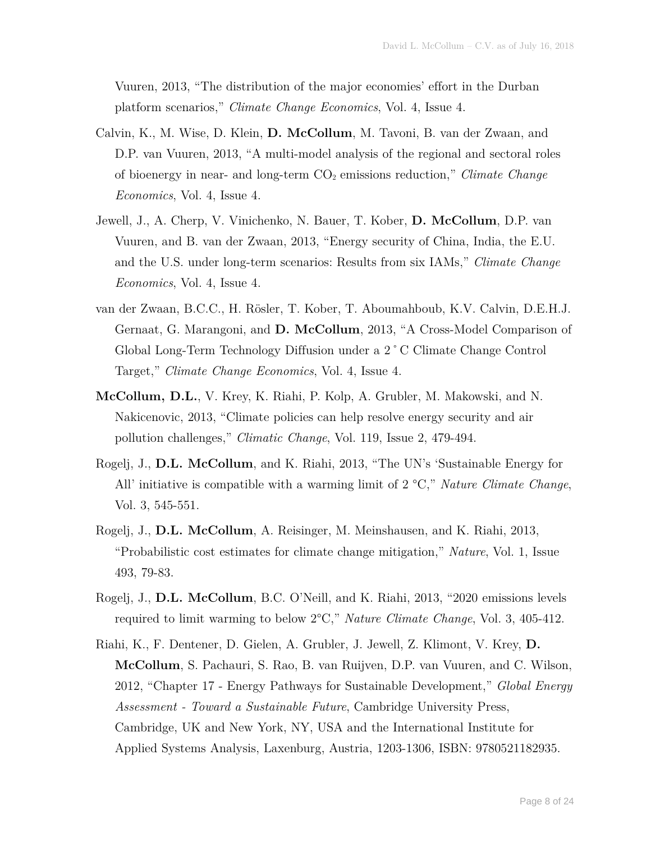Vuuren, 2013, "The distribution of the major economies' effort in the Durban platform scenarios," *Climate Change Economics*, Vol. 4, Issue 4.

- Calvin, K., M. Wise, D. Klein, **D. McCollum**, M. Tavoni, B. van der Zwaan, and D.P. van Vuuren, 2013, "A multi-model analysis of the regional and sectoral roles of bioenergy in near- and long-term CO2 emissions reduction," *Climate Change Economics*, Vol. 4, Issue 4.
- Jewell, J., A. Cherp, V. Vinichenko, N. Bauer, T. Kober, **D. McCollum**, D.P. van Vuuren, and B. van der Zwaan, 2013, "Energy security of China, India, the E.U. and the U.S. under long-term scenarios: Results from six IAMs," *Climate Change Economics*, Vol. 4, Issue 4.
- van der Zwaan, B.C.C., H. Rösler, T. Kober, T. Aboumahboub, K.V. Calvin, D.E.H.J. Gernaat, G. Marangoni, and **D. McCollum**, 2013, "A Cross-Model Comparison of Global Long-Term Technology Diffusion under a 2˚C Climate Change Control Target," *Climate Change Economics*, Vol. 4, Issue 4.
- **McCollum, D.L.**, V. Krey, K. Riahi, P. Kolp, A. Grubler, M. Makowski, and N. Nakicenovic, 2013, "Climate policies can help resolve energy security and air pollution challenges," *Climatic Change*, Vol. 119, Issue 2, 479-494.
- Rogelj, J., **D.L. McCollum**, and K. Riahi, 2013, "The UN's 'Sustainable Energy for All' initiative is compatible with a warming limit of 2 °C," *Nature Climate Change*, Vol. 3, 545-551.
- Rogelj, J., **D.L. McCollum**, A. Reisinger, M. Meinshausen, and K. Riahi, 2013, "Probabilistic cost estimates for climate change mitigation," *Nature*, Vol. 1, Issue 493, 79-83.
- Rogelj, J., **D.L. McCollum**, B.C. O'Neill, and K. Riahi, 2013, "2020 emissions levels required to limit warming to below 2°C," *Nature Climate Change*, Vol. 3, 405-412.
- Riahi, K., F. Dentener, D. Gielen, A. Grubler, J. Jewell, Z. Klimont, V. Krey, **D. McCollum**, S. Pachauri, S. Rao, B. van Ruijven, D.P. van Vuuren, and C. Wilson, 2012, "Chapter 17 - Energy Pathways for Sustainable Development," *Global Energy Assessment - Toward a Sustainable Future*, Cambridge University Press, Cambridge, UK and New York, NY, USA and the International Institute for Applied Systems Analysis, Laxenburg, Austria, 1203-1306, ISBN: 9780521182935.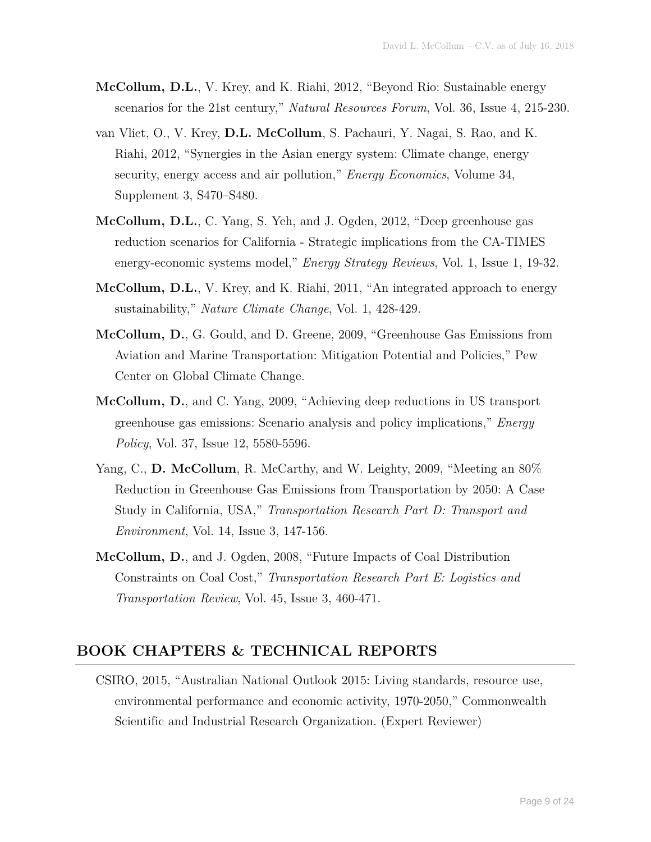- **McCollum, D.L.**, V. Krey, and K. Riahi, 2012, "Beyond Rio: Sustainable energy scenarios for the 21st century," *Natural Resources Forum*, Vol. 36, Issue 4, 215-230.
- van Vliet, O., V. Krey, **D.L. McCollum**, S. Pachauri, Y. Nagai, S. Rao, and K. Riahi, 2012, "Synergies in the Asian energy system: Climate change, energy security, energy access and air pollution," *Energy Economics*, Volume 34, Supplement 3, S470–S480.
- **McCollum, D.L.**, C. Yang, S. Yeh, and J. Ogden, 2012, "Deep greenhouse gas reduction scenarios for California - Strategic implications from the CA-TIMES energy-economic systems model," *Energy Strategy Reviews*, Vol. 1, Issue 1, 19-32.
- **McCollum, D.L.**, V. Krey, and K. Riahi, 2011, "An integrated approach to energy sustainability," *Nature Climate Change*, Vol. 1, 428-429.
- **McCollum, D.**, G. Gould, and D. Greene, 2009, "Greenhouse Gas Emissions from Aviation and Marine Transportation: Mitigation Potential and Policies," Pew Center on Global Climate Change.
- **McCollum, D.**, and C. Yang, 2009, "Achieving deep reductions in US transport greenhouse gas emissions: Scenario analysis and policy implications," *Energy Policy*, Vol. 37, Issue 12, 5580-5596.
- Yang, C., **D. McCollum**, R. McCarthy, and W. Leighty, 2009, "Meeting an 80% Reduction in Greenhouse Gas Emissions from Transportation by 2050: A Case Study in California, USA," *Transportation Research Part D: Transport and Environment*, Vol. 14, Issue 3, 147-156.
- **McCollum, D.**, and J. Ogden, 2008, "Future Impacts of Coal Distribution Constraints on Coal Cost," *Transportation Research Part E: Logistics and Transportation Review*, Vol. 45, Issue 3, 460-471.

#### **BOOK CHAPTERS & TECHNICAL REPORTS**

CSIRO, 2015, "Australian National Outlook 2015: Living standards, resource use, environmental performance and economic activity, 1970-2050," Commonwealth Scientific and Industrial Research Organization. (Expert Reviewer)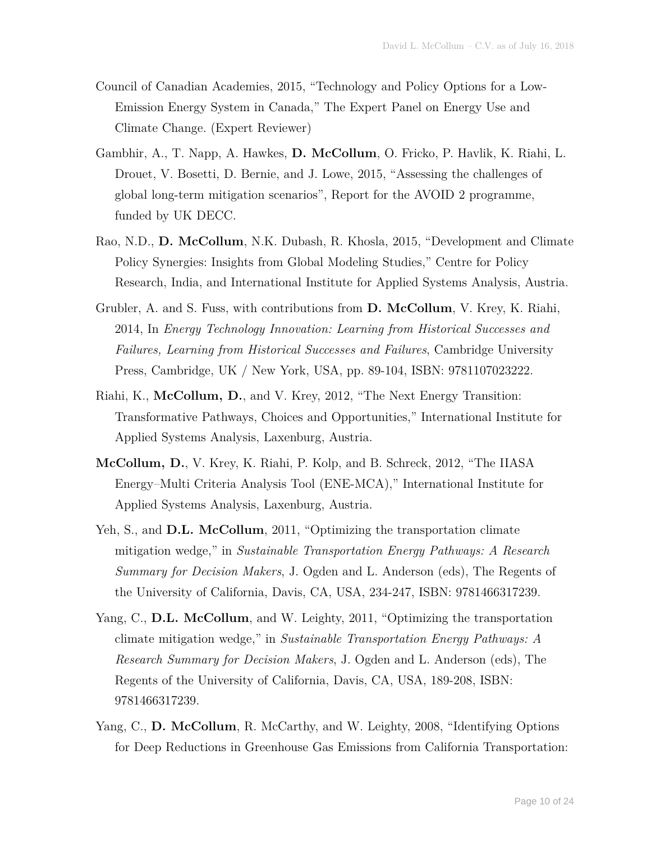- Council of Canadian Academies, 2015, "Technology and Policy Options for a Low-Emission Energy System in Canada," The Expert Panel on Energy Use and Climate Change. (Expert Reviewer)
- Gambhir, A., T. Napp, A. Hawkes, **D. McCollum**, O. Fricko, P. Havlik, K. Riahi, L. Drouet, V. Bosetti, D. Bernie, and J. Lowe, 2015, "Assessing the challenges of global long-term mitigation scenarios", Report for the AVOID 2 programme, funded by UK DECC.
- Rao, N.D., **D. McCollum**, N.K. Dubash, R. Khosla, 2015, "Development and Climate Policy Synergies: Insights from Global Modeling Studies," Centre for Policy Research, India, and International Institute for Applied Systems Analysis, Austria.
- Grubler, A. and S. Fuss, with contributions from **D. McCollum**, V. Krey, K. Riahi, 2014, In *Energy Technology Innovation: Learning from Historical Successes and Failures, Learning from Historical Successes and Failures*, Cambridge University Press, Cambridge, UK / New York, USA, pp. 89-104, ISBN: 9781107023222.
- Riahi, K., **McCollum, D.**, and V. Krey, 2012, "The Next Energy Transition: Transformative Pathways, Choices and Opportunities," International Institute for Applied Systems Analysis, Laxenburg, Austria.
- **McCollum, D.**, V. Krey, K. Riahi, P. Kolp, and B. Schreck, 2012, "The IIASA Energy–Multi Criteria Analysis Tool (ENE-MCA)," International Institute for Applied Systems Analysis, Laxenburg, Austria.
- Yeh, S., and **D.L. McCollum**, 2011, "Optimizing the transportation climate mitigation wedge," in *Sustainable Transportation Energy Pathways: A Research Summary for Decision Makers*, J. Ogden and L. Anderson (eds), The Regents of the University of California, Davis, CA, USA, 234-247, ISBN: 9781466317239.
- Yang, C., **D.L. McCollum**, and W. Leighty, 2011, "Optimizing the transportation climate mitigation wedge," in *Sustainable Transportation Energy Pathways: A Research Summary for Decision Makers*, J. Ogden and L. Anderson (eds), The Regents of the University of California, Davis, CA, USA, 189-208, ISBN: 9781466317239.
- Yang, C., **D. McCollum**, R. McCarthy, and W. Leighty, 2008, "Identifying Options for Deep Reductions in Greenhouse Gas Emissions from California Transportation: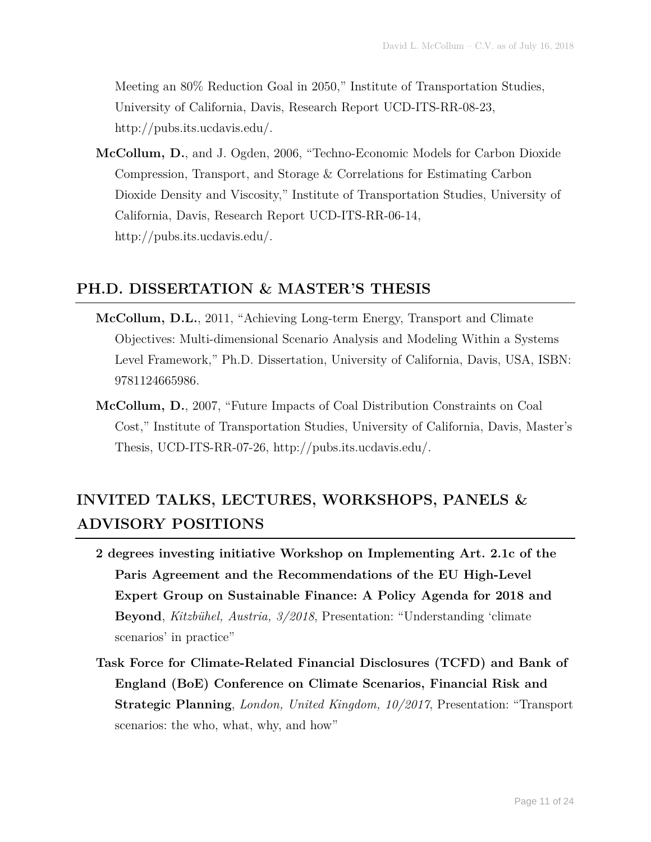Meeting an 80% Reduction Goal in 2050," Institute of Transportation Studies, University of California, Davis, Research Report UCD-ITS-RR-08-23, http://pubs.its.ucdavis.edu/.

**McCollum, D.**, and J. Ogden, 2006, "Techno-Economic Models for Carbon Dioxide Compression, Transport, and Storage & Correlations for Estimating Carbon Dioxide Density and Viscosity," Institute of Transportation Studies, University of California, Davis, Research Report UCD-ITS-RR-06-14, http://pubs.its.ucdavis.edu/.

#### **PH.D. DISSERTATION & MASTER'S THESIS**

- **McCollum, D.L.**, 2011, "Achieving Long-term Energy, Transport and Climate Objectives: Multi-dimensional Scenario Analysis and Modeling Within a Systems Level Framework," Ph.D. Dissertation, University of California, Davis, USA, ISBN: 9781124665986.
- **McCollum, D.**, 2007, "Future Impacts of Coal Distribution Constraints on Coal Cost," Institute of Transportation Studies, University of California, Davis, Master's Thesis, UCD-ITS-RR-07-26, http://pubs.its.ucdavis.edu/.

### **INVITED TALKS, LECTURES, WORKSHOPS, PANELS & ADVISORY POSITIONS**

- **2 degrees investing initiative Workshop on Implementing Art. 2.1c of the Paris Agreement and the Recommendations of the EU High-Level Expert Group on Sustainable Finance: A Policy Agenda for 2018 and Beyond**, *Kitzbühel, Austria, 3/2018*, Presentation: "Understanding 'climate scenarios' in practice"
- **Task Force for Climate-Related Financial Disclosures (TCFD) and Bank of England (BoE) Conference on Climate Scenarios, Financial Risk and Strategic Planning**, *London, United Kingdom, 10/2017*, Presentation: "Transport scenarios: the who, what, why, and how"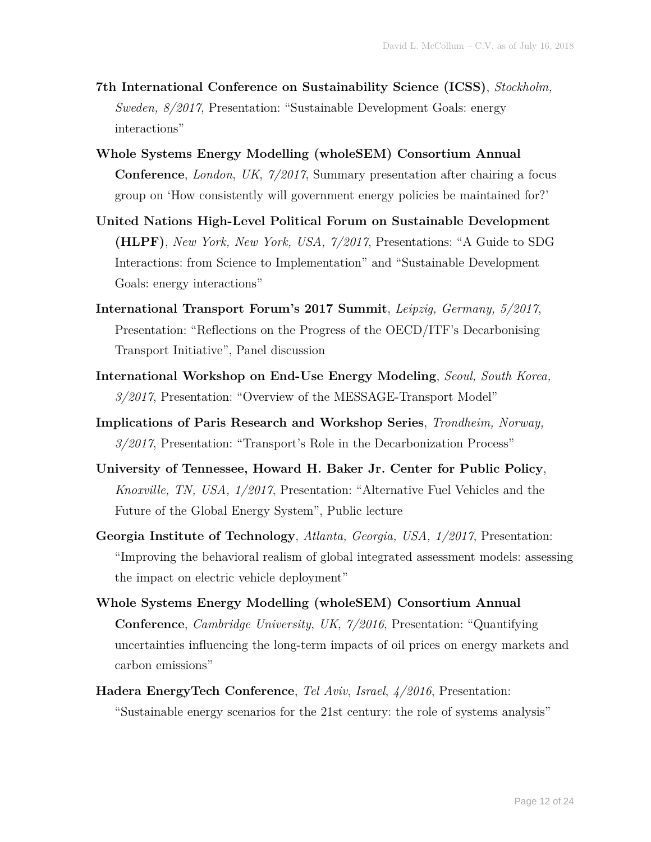- **7th International Conference on Sustainability Science (ICSS)**, *Stockholm, Sweden, 8/2017*, Presentation: "Sustainable Development Goals: energy interactions"
- **Whole Systems Energy Modelling (wholeSEM) Consortium Annual Conference**, *London*, *UK*, *7/2017*, Summary presentation after chairing a focus group on 'How consistently will government energy policies be maintained for?'
- **United Nations High-Level Political Forum on Sustainable Development (HLPF)**, *New York, New York, USA, 7/2017*, Presentations: "A Guide to SDG Interactions: from Science to Implementation" and "Sustainable Development Goals: energy interactions"
- **International Transport Forum's 2017 Summit**, *Leipzig, Germany, 5/2017*, Presentation: "Reflections on the Progress of the OECD/ITF's Decarbonising Transport Initiative", Panel discussion
- **International Workshop on End-Use Energy Modeling**, *Seoul, South Korea, 3/2017*, Presentation: "Overview of the MESSAGE-Transport Model"
- **Implications of Paris Research and Workshop Series**, *Trondheim, Norway, 3/2017*, Presentation: "Transport's Role in the Decarbonization Process"
- **University of Tennessee, Howard H. Baker Jr. Center for Public Policy**, *Knoxville, TN, USA, 1/2017*, Presentation: "Alternative Fuel Vehicles and the Future of the Global Energy System", Public lecture
- **Georgia Institute of Technology**, *Atlanta, Georgia, USA, 1/2017*, Presentation: "Improving the behavioral realism of global integrated assessment models: assessing the impact on electric vehicle deployment"
- **Whole Systems Energy Modelling (wholeSEM) Consortium Annual Conference**, *Cambridge University*, *UK*, *7/2016*, Presentation: "Quantifying uncertainties influencing the long-term impacts of oil prices on energy markets and carbon emissions"
- **Hadera EnergyTech Conference**, *Tel Aviv*, *Israel*, *4/2016*, Presentation: "Sustainable energy scenarios for the 21st century: the role of systems analysis"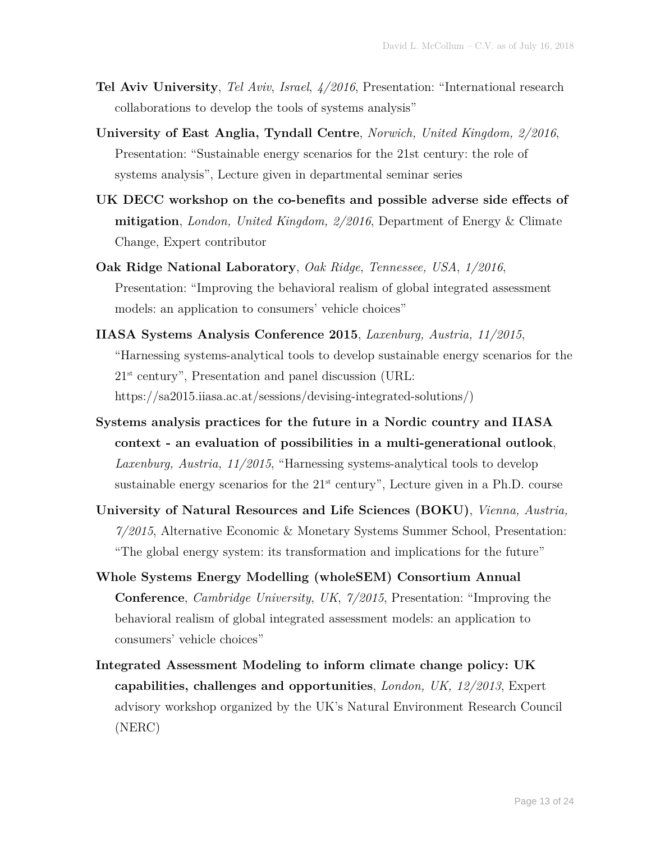- **Tel Aviv University**, *Tel Aviv*, *Israel*, *4/2016*, Presentation: "International research collaborations to develop the tools of systems analysis"
- **University of East Anglia, Tyndall Centre**, *Norwich, United Kingdom, 2/2016*, Presentation: "Sustainable energy scenarios for the 21st century: the role of systems analysis", Lecture given in departmental seminar series
- **UK DECC workshop on the co-benefits and possible adverse side effects of mitigation**, *London, United Kingdom, 2/2016*, Department of Energy & Climate Change, Expert contributor
- **Oak Ridge National Laboratory**, *Oak Ridge*, *Tennessee, USA*, *1/2016*, Presentation: "Improving the behavioral realism of global integrated assessment models: an application to consumers' vehicle choices"
- **IIASA Systems Analysis Conference 2015**, *Laxenburg, Austria, 11/2015*, "Harnessing systems-analytical tools to develop sustainable energy scenarios for the  $21<sup>st</sup>$  century", Presentation and panel discussion (URL: https://sa2015.iiasa.ac.at/sessions/devising-integrated-solutions/)
- **Systems analysis practices for the future in a Nordic country and IIASA context - an evaluation of possibilities in a multi-generational outlook**, *Laxenburg, Austria, 11/2015*, "Harnessing systems-analytical tools to develop sustainable energy scenarios for the  $21<sup>st</sup>$  century", Lecture given in a Ph.D. course
- **University of Natural Resources and Life Sciences (BOKU)**, *Vienna, Austria, 7/2015*, Alternative Economic & Monetary Systems Summer School, Presentation: "The global energy system: its transformation and implications for the future"
- **Whole Systems Energy Modelling (wholeSEM) Consortium Annual Conference**, *Cambridge University*, *UK*, *7/2015*, Presentation: "Improving the behavioral realism of global integrated assessment models: an application to consumers' vehicle choices"
- **Integrated Assessment Modeling to inform climate change policy: UK capabilities, challenges and opportunities**, *London, UK, 12/2013*, Expert advisory workshop organized by the UK's Natural Environment Research Council (NERC)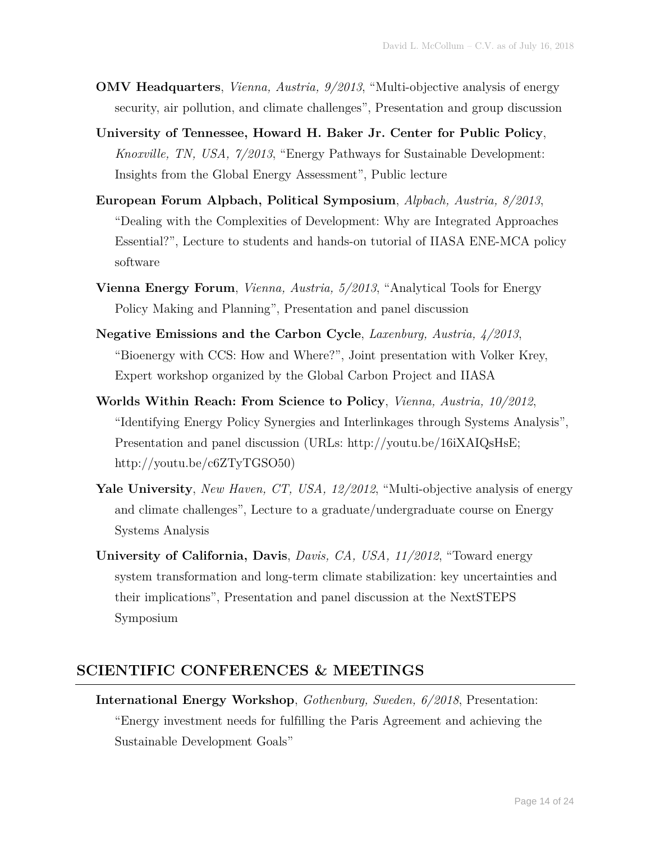- **OMV Headquarters**, *Vienna, Austria, 9/2013*, "Multi-objective analysis of energy security, air pollution, and climate challenges", Presentation and group discussion
- **University of Tennessee, Howard H. Baker Jr. Center for Public Policy**, *Knoxville, TN, USA, 7/2013*, "Energy Pathways for Sustainable Development: Insights from the Global Energy Assessment", Public lecture
- **European Forum Alpbach, Political Symposium**, *Alpbach, Austria, 8/2013*, "Dealing with the Complexities of Development: Why are Integrated Approaches Essential?", Lecture to students and hands-on tutorial of IIASA ENE-MCA policy software
- **Vienna Energy Forum**, *Vienna, Austria, 5/2013*, "Analytical Tools for Energy Policy Making and Planning", Presentation and panel discussion
- **Negative Emissions and the Carbon Cycle**, *Laxenburg, Austria, 4/2013*, "Bioenergy with CCS: How and Where?", Joint presentation with Volker Krey, Expert workshop organized by the Global Carbon Project and IIASA
- **Worlds Within Reach: From Science to Policy**, *Vienna, Austria, 10/2012*, "Identifying Energy Policy Synergies and Interlinkages through Systems Analysis", Presentation and panel discussion (URLs: http://youtu.be/16iXAIQsHsE; http://youtu.be/c6ZTyTGSO50)
- **Yale University**, *New Haven, CT, USA, 12/2012*, "Multi-objective analysis of energy and climate challenges", Lecture to a graduate/undergraduate course on Energy Systems Analysis
- **University of California, Davis**, *Davis, CA, USA, 11/2012*, "Toward energy system transformation and long-term climate stabilization: key uncertainties and their implications", Presentation and panel discussion at the NextSTEPS Symposium

#### **SCIENTIFIC CONFERENCES & MEETINGS**

**International Energy Workshop**, *Gothenburg, Sweden, 6/2018*, Presentation: "Energy investment needs for fulfilling the Paris Agreement and achieving the Sustainable Development Goals"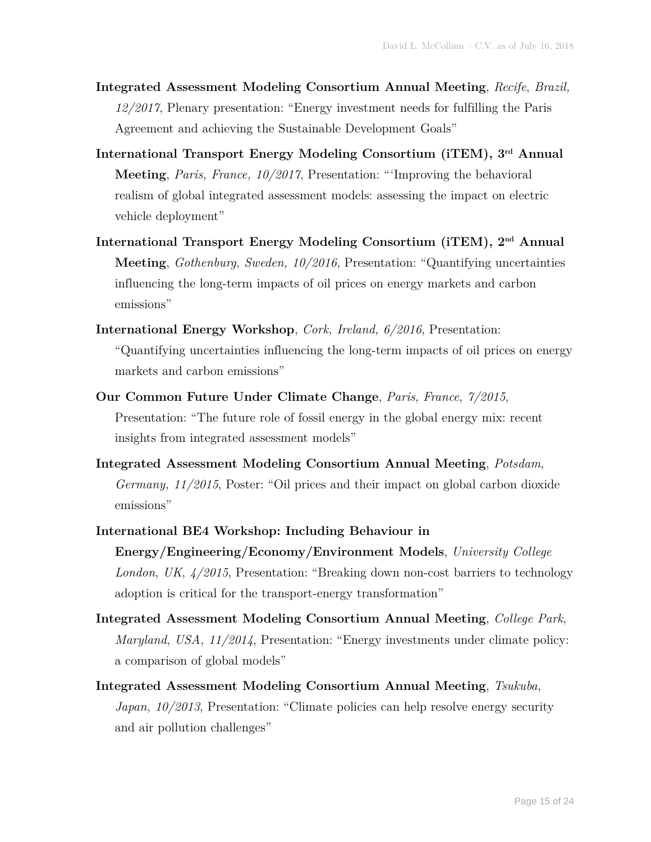- **Integrated Assessment Modeling Consortium Annual Meeting**, *Recife*, *Brazil, 12/2017*, Plenary presentation: "Energy investment needs for fulfilling the Paris Agreement and achieving the Sustainable Development Goals"
- **International Transport Energy Modeling Consortium (iTEM), 3rd Annual Meeting**, *Paris, France, 10/2017*, Presentation: "'Improving the behavioral realism of global integrated assessment models: assessing the impact on electric vehicle deployment"
- **International Transport Energy Modeling Consortium (iTEM), 2nd Annual Meeting**, *Gothenburg, Sweden, 10/2016*, Presentation: "Quantifying uncertainties influencing the long-term impacts of oil prices on energy markets and carbon emissions"
- **International Energy Workshop**, *Cork, Ireland, 6/2016*, Presentation: "Quantifying uncertainties influencing the long-term impacts of oil prices on energy markets and carbon emissions"
- **Our Common Future Under Climate Change**, *Paris*, *France*, *7/2015*, Presentation: "The future role of fossil energy in the global energy mix: recent insights from integrated assessment models"
- **Integrated Assessment Modeling Consortium Annual Meeting**, *Potsdam*, *Germany, 11/2015*, Poster: "Oil prices and their impact on global carbon dioxide emissions"
- **International BE4 Workshop: Including Behaviour in Energy/Engineering/Economy/Environment Models**, *University College London*, *UK*, *4/2015*, Presentation: "Breaking down non-cost barriers to technology adoption is critical for the transport-energy transformation"
- **Integrated Assessment Modeling Consortium Annual Meeting**, *College Park*, *Maryland*, *USA, 11/2014*, Presentation: "Energy investments under climate policy: a comparison of global models"
- **Integrated Assessment Modeling Consortium Annual Meeting**, *Tsukuba, Japan, 10/2013*, Presentation: "Climate policies can help resolve energy security and air pollution challenges"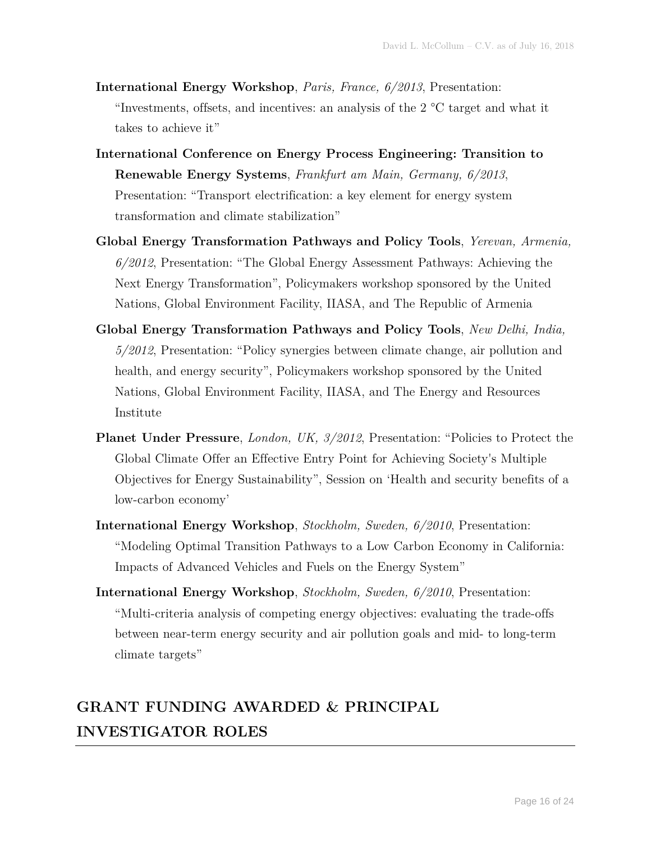- **International Energy Workshop**, *Paris, France, 6/2013*, Presentation: "Investments, offsets, and incentives: an analysis of the 2 °C target and what it takes to achieve it"
- **International Conference on Energy Process Engineering: Transition to Renewable Energy Systems**, *Frankfurt am Main, Germany, 6/2013*, Presentation: "Transport electrification: a key element for energy system transformation and climate stabilization"
- **Global Energy Transformation Pathways and Policy Tools**, *Yerevan, Armenia, 6/2012*, Presentation: "The Global Energy Assessment Pathways: Achieving the Next Energy Transformation", Policymakers workshop sponsored by the United Nations, Global Environment Facility, IIASA, and The Republic of Armenia
- **Global Energy Transformation Pathways and Policy Tools**, *New Delhi, India, 5/2012*, Presentation: "Policy synergies between climate change, air pollution and health, and energy security", Policymakers workshop sponsored by the United Nations, Global Environment Facility, IIASA, and The Energy and Resources Institute
- Planet Under Pressure, *London, UK, 3/2012*, Presentation: "Policies to Protect the Global Climate Offer an Effective Entry Point for Achieving Society's Multiple Objectives for Energy Sustainability", Session on 'Health and security benefits of a low-carbon economy'
- **International Energy Workshop**, *Stockholm, Sweden, 6/2010*, Presentation: "Modeling Optimal Transition Pathways to a Low Carbon Economy in California: Impacts of Advanced Vehicles and Fuels on the Energy System"
- **International Energy Workshop**, *Stockholm, Sweden, 6/2010*, Presentation: "Multi-criteria analysis of competing energy objectives: evaluating the trade-offs between near-term energy security and air pollution goals and mid- to long-term climate targets"

### **GRANT FUNDING AWARDED & PRINCIPAL INVESTIGATOR ROLES**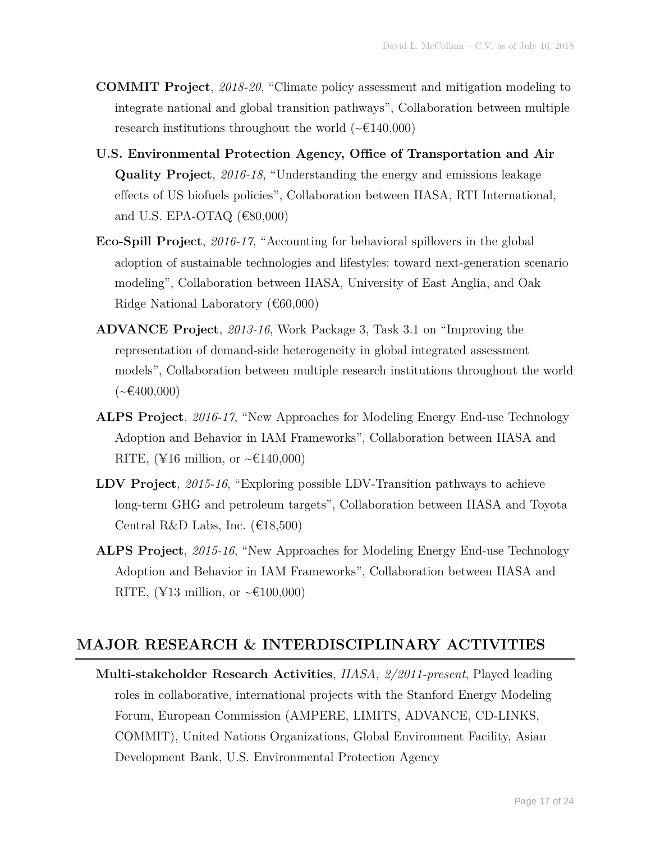- **COMMIT Project**, *2018-20*, "Climate policy assessment and mitigation modeling to integrate national and global transition pathways", Collaboration between multiple research institutions throughout the world  $(\sim 6140,000)$
- **U.S. Environmental Protection Agency, Office of Transportation and Air Quality Project**, *2016-18*, "Understanding the energy and emissions leakage effects of US biofuels policies", Collaboration between IIASA, RTI International, and U.S. EPA-OTAQ  $(€80,000)$
- **Eco-Spill Project**, *2016-17*, "Accounting for behavioral spillovers in the global adoption of sustainable technologies and lifestyles: toward next-generation scenario modeling", Collaboration between IIASA, University of East Anglia, and Oak Ridge National Laboratory  $(660,000)$
- **ADVANCE Project**, *2013-16*, Work Package 3, Task 3.1 on "Improving the representation of demand-side heterogeneity in global integrated assessment models", Collaboration between multiple research institutions throughout the world  $({\sim}\epsilon$ 400,000)
- **ALPS Project**, *2016-17*, "New Approaches for Modeling Energy End-use Technology Adoption and Behavior in IAM Frameworks", Collaboration between IIASA and RITE, (¥16 million, or  $\sim \text{\textsterling}140,000$ )
- **LDV Project**, *2015-16*, "Exploring possible LDV-Transition pathways to achieve long-term GHG and petroleum targets", Collaboration between IIASA and Toyota Central R&D Labs, Inc.  $(€18,500)$
- **ALPS Project**, *2015-16*, "New Approaches for Modeling Energy End-use Technology Adoption and Behavior in IAM Frameworks", Collaboration between IIASA and RITE, (¥13 million, or  $\sim \text{\textsterling}100,000$ )

#### **MAJOR RESEARCH & INTERDISCIPLINARY ACTIVITIES**

**Multi-stakeholder Research Activities**, *IIASA, 2/2011-present*, Played leading roles in collaborative, international projects with the Stanford Energy Modeling Forum, European Commission (AMPERE, LIMITS, ADVANCE, CD-LINKS, COMMIT), United Nations Organizations, Global Environment Facility, Asian Development Bank, U.S. Environmental Protection Agency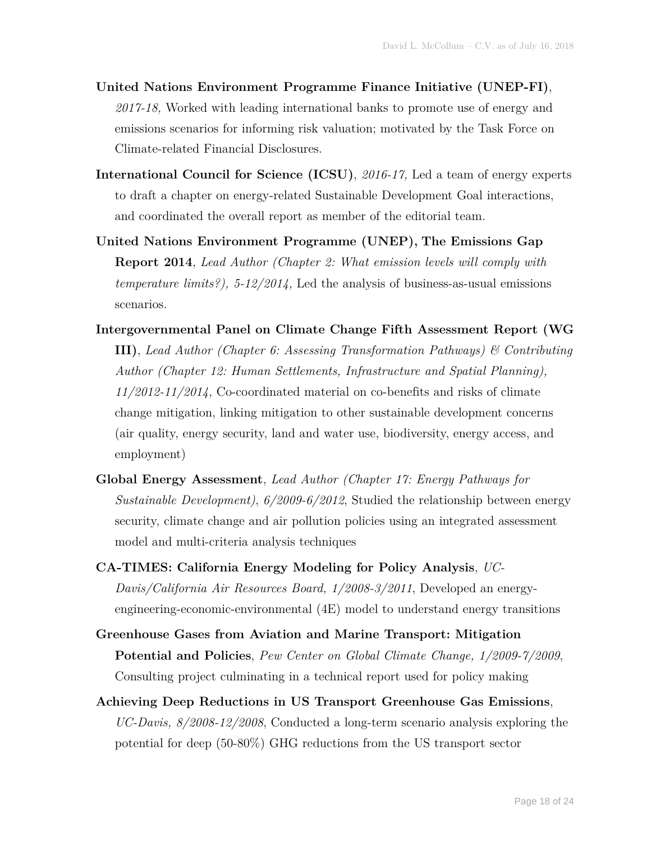- **United Nations Environment Programme Finance Initiative (UNEP-FI)**, *2017-18,* Worked with leading international banks to promote use of energy and emissions scenarios for informing risk valuation; motivated by the Task Force on Climate-related Financial Disclosures.
- **International Council for Science (ICSU)**, *2016-17,* Led a team of energy experts to draft a chapter on energy-related Sustainable Development Goal interactions, and coordinated the overall report as member of the editorial team.
- **United Nations Environment Programme (UNEP), The Emissions Gap Report 2014**, *Lead Author (Chapter 2: What emission levels will comply with temperature limits?), 5-12/2014,* Led the analysis of business-as-usual emissions scenarios.
- **Intergovernmental Panel on Climate Change Fifth Assessment Report (WG III)**, *Lead Author (Chapter 6: Assessing Transformation Pathways) & Contributing Author (Chapter 12: Human Settlements, Infrastructure and Spatial Planning), 11/2012-11/2014,* Co-coordinated material on co-benefits and risks of climate change mitigation, linking mitigation to other sustainable development concerns (air quality, energy security, land and water use, biodiversity, energy access, and employment)
- **Global Energy Assessment**, *Lead Author (Chapter 17: Energy Pathways for Sustainable Development)*, *6/2009-6/2012*, Studied the relationship between energy security, climate change and air pollution policies using an integrated assessment model and multi-criteria analysis techniques
- **CA-TIMES: California Energy Modeling for Policy Analysis**, *UC-Davis/California Air Resources Board, 1/2008-3/2011*, Developed an energyengineering-economic-environmental (4E) model to understand energy transitions
- **Greenhouse Gases from Aviation and Marine Transport: Mitigation Potential and Policies**, *Pew Center on Global Climate Change, 1/2009-7/2009*, Consulting project culminating in a technical report used for policy making
- **Achieving Deep Reductions in US Transport Greenhouse Gas Emissions**, *UC-Davis, 8/2008-12/2008*, Conducted a long-term scenario analysis exploring the potential for deep (50-80%) GHG reductions from the US transport sector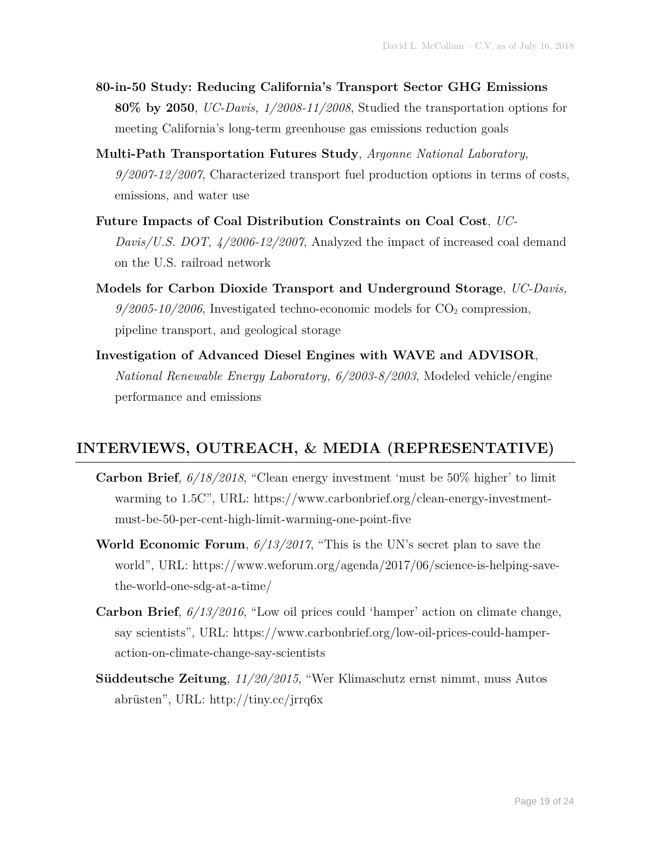- **80-in-50 Study: Reducing California's Transport Sector GHG Emissions 80% by 2050**, *UC-Davis, 1/2008-11/2008*, Studied the transportation options for meeting California's long-term greenhouse gas emissions reduction goals
- **Multi-Path Transportation Futures Study**, *Argonne National Laboratory, 9/2007-12/2007*, Characterized transport fuel production options in terms of costs, emissions, and water use
- **Future Impacts of Coal Distribution Constraints on Coal Cost**, *UC-Davis/U.S. DOT, 4/2006-12/2007*, Analyzed the impact of increased coal demand on the U.S. railroad network
- **Models for Carbon Dioxide Transport and Underground Storage**, *UC-Davis,*   $9/2005$ -10/2006, Investigated techno-economic models for  $CO<sub>2</sub>$  compression, pipeline transport, and geological storage
- **Investigation of Advanced Diesel Engines with WAVE and ADVISOR**, *National Renewable Energy Laboratory, 6/2003-8/2003*, Modeled vehicle/engine performance and emissions

#### **INTERVIEWS, OUTREACH, & MEDIA (REPRESENTATIVE)**

- **Carbon Brief**, *6/18/2018*, "Clean energy investment 'must be 50% higher' to limit warming to 1.5C", URL: https://www.carbonbrief.org/clean-energy-investmentmust-be-50-per-cent-high-limit-warming-one-point-five
- **World Economic Forum**, *6/13/2017*, "This is the UN's secret plan to save the world", URL: https://www.weforum.org/agenda/2017/06/science-is-helping-savethe-world-one-sdg-at-a-time/
- **Carbon Brief**, *6/13/2016*, "Low oil prices could 'hamper' action on climate change, say scientists", URL: https://www.carbonbrief.org/low-oil-prices-could-hamperaction-on-climate-change-say-scientists
- **Süddeutsche Zeitung**, *11/20/2015*, "Wer Klimaschutz ernst nimmt, muss Autos abrüsten", URL: http://tiny.cc/jrrq6x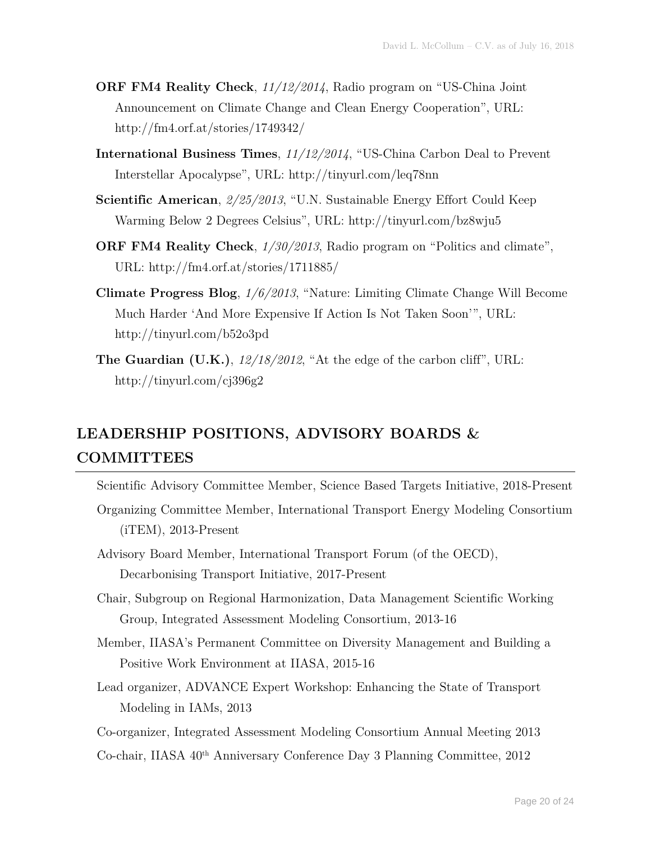- **ORF FM4 Reality Check**, *11/12/2014*, Radio program on "US-China Joint Announcement on Climate Change and Clean Energy Cooperation", URL: http://fm4.orf.at/stories/1749342/
- **International Business Times**, *11/12/2014*, "US-China Carbon Deal to Prevent Interstellar Apocalypse", URL: http://tinyurl.com/leq78nn
- **Scientific American**, *2/25/2013*, "U.N. Sustainable Energy Effort Could Keep Warming Below 2 Degrees Celsius", URL: http://tinyurl.com/bz8wju5
- **ORF FM4 Reality Check**, *1/30/2013*, Radio program on "Politics and climate", URL: http://fm4.orf.at/stories/1711885/
- **Climate Progress Blog**, *1/6/2013*, "Nature: Limiting Climate Change Will Become Much Harder 'And More Expensive If Action Is Not Taken Soon'", URL: http://tinyurl.com/b52o3pd
- **The Guardian (U.K.)**, *12/18/2012*, "At the edge of the carbon cliff", URL: http://tinyurl.com/cj396g2

## **LEADERSHIP POSITIONS, ADVISORY BOARDS & COMMITTEES**

- Scientific Advisory Committee Member, Science Based Targets Initiative, 2018-Present
- Organizing Committee Member, International Transport Energy Modeling Consortium (iTEM), 2013-Present
- Advisory Board Member, International Transport Forum (of the OECD), Decarbonising Transport Initiative, 2017-Present
- Chair, Subgroup on Regional Harmonization, Data Management Scientific Working Group, Integrated Assessment Modeling Consortium, 2013-16
- Member, IIASA's Permanent Committee on Diversity Management and Building a Positive Work Environment at IIASA, 2015-16
- Lead organizer, ADVANCE Expert Workshop: Enhancing the State of Transport Modeling in IAMs, 2013
- Co-organizer, Integrated Assessment Modeling Consortium Annual Meeting 2013
- Co-chair, IIASA 40th Anniversary Conference Day 3 Planning Committee, 2012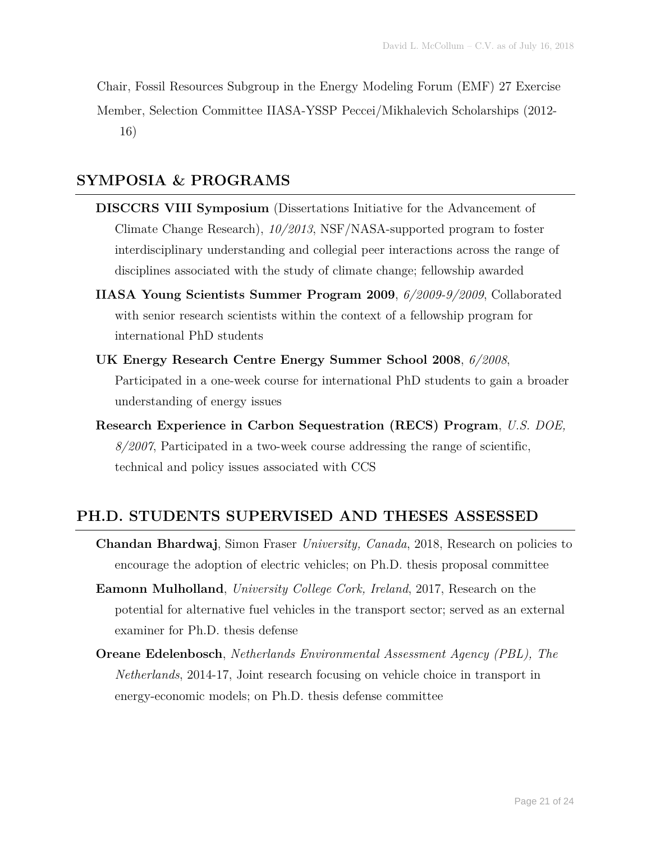Chair, Fossil Resources Subgroup in the Energy Modeling Forum (EMF) 27 Exercise Member, Selection Committee IIASA-YSSP Peccei/Mikhalevich Scholarships (2012- 16)

#### **SYMPOSIA & PROGRAMS**

- **DISCCRS VIII Symposium** (Dissertations Initiative for the Advancement of Climate Change Research), *10/2013*, NSF/NASA-supported program to foster interdisciplinary understanding and collegial peer interactions across the range of disciplines associated with the study of climate change; fellowship awarded
- **IIASA Young Scientists Summer Program 2009**, *6/2009-9/2009*, Collaborated with senior research scientists within the context of a fellowship program for international PhD students
- **UK Energy Research Centre Energy Summer School 2008**, *6/2008*, Participated in a one-week course for international PhD students to gain a broader understanding of energy issues
- **Research Experience in Carbon Sequestration (RECS) Program**, *U.S. DOE, 8/2007*, Participated in a two-week course addressing the range of scientific, technical and policy issues associated with CCS

#### **PH.D. STUDENTS SUPERVISED AND THESES ASSESSED**

- **Chandan Bhardwaj**, Simon Fraser *University, Canada*, 2018, Research on policies to encourage the adoption of electric vehicles; on Ph.D. thesis proposal committee
- **Eamonn Mulholland**, *University College Cork, Ireland*, 2017, Research on the potential for alternative fuel vehicles in the transport sector; served as an external examiner for Ph.D. thesis defense
- **Oreane Edelenbosch**, *Netherlands Environmental Assessment Agency (PBL), The Netherlands*, 2014-17, Joint research focusing on vehicle choice in transport in energy-economic models; on Ph.D. thesis defense committee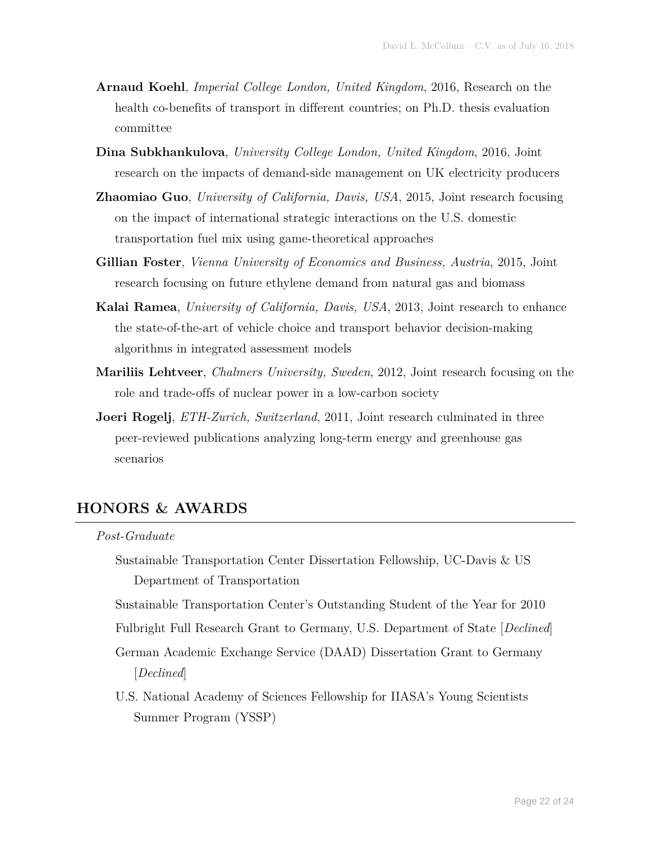- **Arnaud Koehl**, *Imperial College London, United Kingdom*, 2016, Research on the health co-benefits of transport in different countries; on Ph.D. thesis evaluation committee
- **Dina Subkhankulova**, *University College London, United Kingdom*, 2016, Joint research on the impacts of demand-side management on UK electricity producers
- **Zhaomiao Guo**, *University of California, Davis, USA*, 2015, Joint research focusing on the impact of international strategic interactions on the U.S. domestic transportation fuel mix using game-theoretical approaches
- **Gillian Foster**, *Vienna University of Economics and Business, Austria*, 2015, Joint research focusing on future ethylene demand from natural gas and biomass
- **Kalai Ramea**, *University of California, Davis, USA*, 2013, Joint research to enhance the state-of-the-art of vehicle choice and transport behavior decision-making algorithms in integrated assessment models
- **Mariliis Lehtveer**, *Chalmers University, Sweden*, 2012, Joint research focusing on the role and trade-offs of nuclear power in a low-carbon society
- **Joeri Rogelj**, *ETH-Zurich, Switzerland*, 2011, Joint research culminated in three peer-reviewed publications analyzing long-term energy and greenhouse gas scenarios

#### **HONORS & AWARDS**

#### *Post-Graduate*

Sustainable Transportation Center Dissertation Fellowship, UC-Davis & US Department of Transportation

Sustainable Transportation Center's Outstanding Student of the Year for 2010

Fulbright Full Research Grant to Germany, U.S. Department of State [*Declined*]

- German Academic Exchange Service (DAAD) Dissertation Grant to Germany [*Declined*]
- U.S. National Academy of Sciences Fellowship for IIASA's Young Scientists Summer Program (YSSP)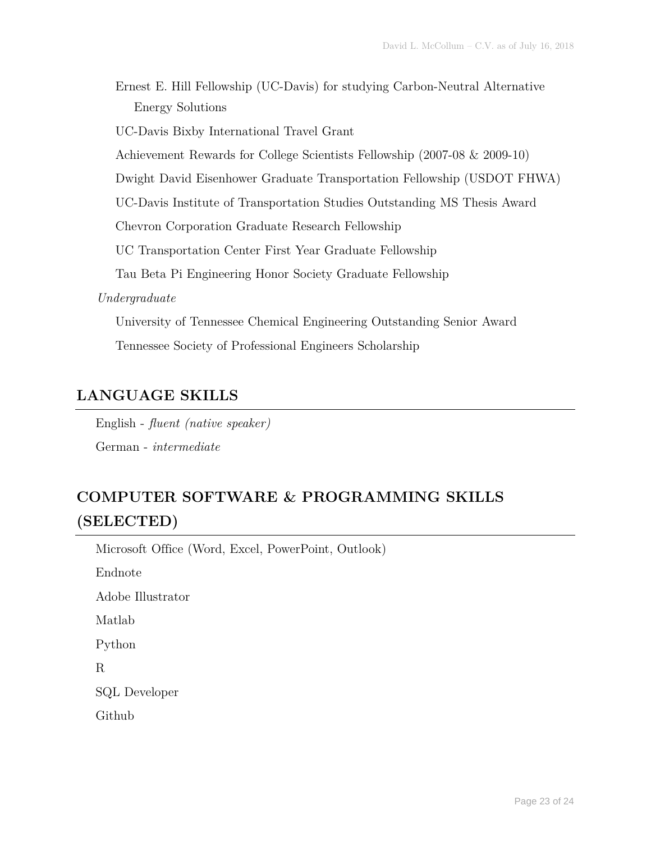Ernest E. Hill Fellowship (UC-Davis) for studying Carbon-Neutral Alternative Energy Solutions

UC-Davis Bixby International Travel Grant

Achievement Rewards for College Scientists Fellowship (2007-08 & 2009-10)

Dwight David Eisenhower Graduate Transportation Fellowship (USDOT FHWA)

UC-Davis Institute of Transportation Studies Outstanding MS Thesis Award

Chevron Corporation Graduate Research Fellowship

UC Transportation Center First Year Graduate Fellowship

Tau Beta Pi Engineering Honor Society Graduate Fellowship

*Undergraduate*

University of Tennessee Chemical Engineering Outstanding Senior Award Tennessee Society of Professional Engineers Scholarship

#### **LANGUAGE SKILLS**

English - *fluent (native speaker)* German - *intermediate*

### **COMPUTER SOFTWARE & PROGRAMMING SKILLS (SELECTED)**

Microsoft Office (Word, Excel, PowerPoint, Outlook)

Endnote

Adobe Illustrator

Matlab

Python

R

SQL Developer

Github